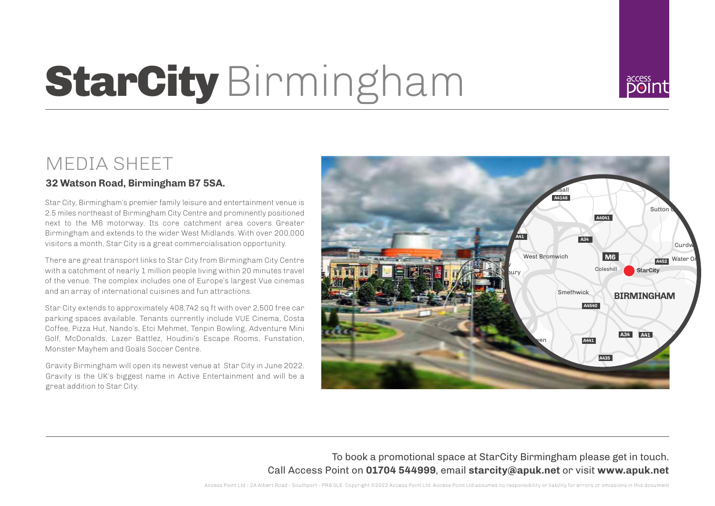# **StarCity** Birmingham



## MEDIA SHEET

### **32 Watson Road, Birmingham B7 5SA.**

Star City, Birmingham's premier family leisure and entertainment venue is 2.5 miles northeast of Birmingham City Centre and prominently positioned next to the M6 motorway. Its core catchment area covers Greater Birmingham and extends to the wider West Midlands. With over 200,000 visitors a month, Star City is a great commercialisation opportunity.

There are great transport links to Star City from Birmingham City Centre with a catchment of nearly 1 million people living within 20 minutes travel of the venue. The complex includes one of Europe's largest Vue cinemas and an array of international cuisines and fun attractions.

Star City extends to approximately 408,742 sq ft with over 2,500 free car parking spaces available. Tenants currently include VUE Cinema, Costa Coffee, Pizza Hut, Nando's, Etci Mehmet, Tenpin Bowling, Adventure Mini Golf, McDonalds, Lazer Battlez, Houdini's Escape Rooms, Funstation, Monster Mayhem and Goals Soccer Centre.

Gravity Birmingham will open its newest venue at Star City in June 2022. Gravity is the UK's biggest name in Active Entertainment and will be a great addition to Star City.



## To book a promotional space at StarCity Birmingham please get in touch. Call Access Point on **01704 544999**, email **starcity@apuk.net** or visit **www.apuk.net**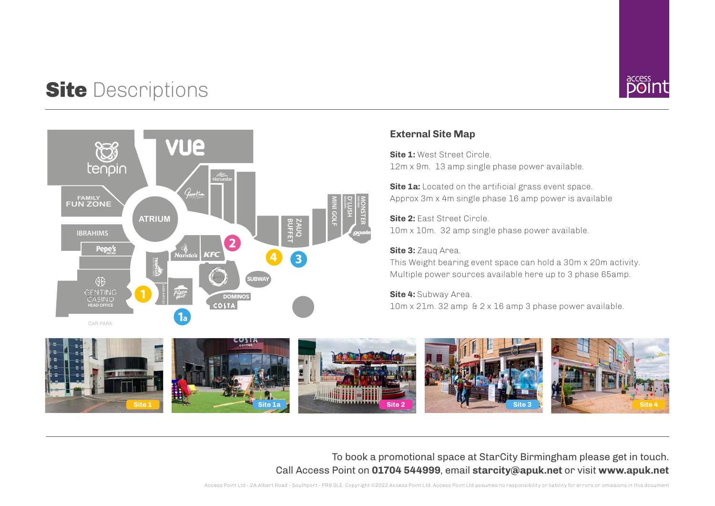# **Site Descriptions**



#### **External Site Map**

12m x 9m. 13 amp single phase power available. **Site 1:** West Street Circle

**Site 1a:** Located on the artificial grass event space. Approx 3m x 4m single phase 16 amp power is available

**Site 2:** East Street Circle. 10m x 10m. 32 amp single phase power available.

#### **Site 3:** Zauq Area.

This Weight bearing event space can hold a 30m x 20m activity. Multiple power sources available here up to 3 phase 65amp.

#### **Site 4:** Subway Area.

10m x 21m. 32 amp & 2 x 16 amp 3 phase power available.



To book a promotional space at StarCity Birmingham please get in touch. Call Access Point on **01704 544999**, email **starcity@apuk.net** or visit **www.apuk.net**